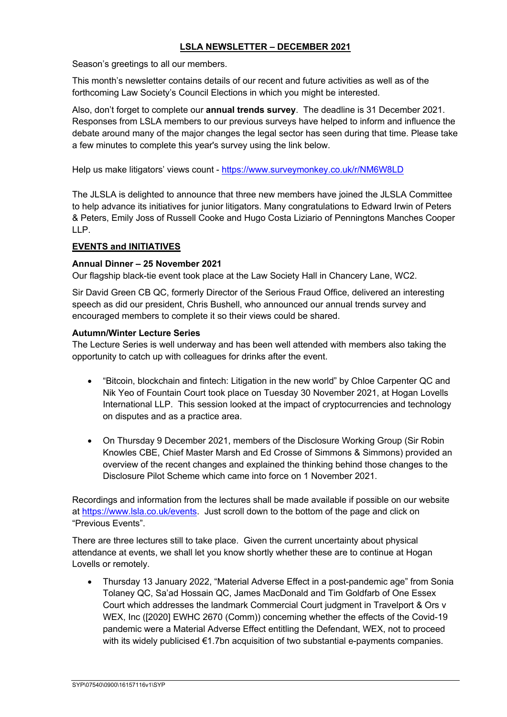## **LSLA NEWSLETTER – DECEMBER 2021**

Season's greetings to all our members.

This month's newsletter contains details of our recent and future activities as well as of the forthcoming Law Society's Council Elections in which you might be interested.

Also, don't forget to complete our **annual trends survey**. The deadline is 31 December 2021. Responses from LSLA members to our previous surveys have helped to inform and influence the debate around many of the major changes the legal sector has seen during that time. Please take a few minutes to complete this year's survey using the link below.

Help us make litigators' views count - https://www.surveymonkey.co.uk/r/NM6W8LD

The JLSLA is delighted to announce that three new members have joined the JLSLA Committee to help advance its initiatives for junior litigators. Many congratulations to Edward Irwin of Peters & Peters, Emily Joss of Russell Cooke and Hugo Costa Liziario of Penningtons Manches Cooper  $\mathsf{L}\mathsf{P}$ 

### **EVENTS and INITIATIVES**

### **Annual Dinner – 25 November 2021**

Our flagship black-tie event took place at the Law Society Hall in Chancery Lane, WC2.

Sir David Green CB QC, formerly Director of the Serious Fraud Office, delivered an interesting speech as did our president, Chris Bushell, who announced our annual trends survey and encouraged members to complete it so their views could be shared.

#### **Autumn/Winter Lecture Series**

The Lecture Series is well underway and has been well attended with members also taking the opportunity to catch up with colleagues for drinks after the event.

- "Bitcoin, blockchain and fintech: Litigation in the new world" by Chloe Carpenter QC and Nik Yeo of Fountain Court took place on Tuesday 30 November 2021, at Hogan Lovells International LLP. This session looked at the impact of cryptocurrencies and technology on disputes and as a practice area.
- On Thursday 9 December 2021, members of the Disclosure Working Group (Sir Robin Knowles CBE, Chief Master Marsh and Ed Crosse of Simmons & Simmons) provided an overview of the recent changes and explained the thinking behind those changes to the Disclosure Pilot Scheme which came into force on 1 November 2021.

Recordings and information from the lectures shall be made available if possible on our website at https://www.lsla.co.uk/events. Just scroll down to the bottom of the page and click on "Previous Events".

There are three lectures still to take place. Given the current uncertainty about physical attendance at events, we shall let you know shortly whether these are to continue at Hogan Lovells or remotely.

• Thursday 13 January 2022, "Material Adverse Effect in a post-pandemic age" from Sonia Tolaney QC, Sa'ad Hossain QC, James MacDonald and Tim Goldfarb of One Essex Court which addresses the landmark Commercial Court judgment in Travelport & Ors v WEX, Inc ([2020] EWHC 2670 (Comm)) concerning whether the effects of the Covid-19 pandemic were a Material Adverse Effect entitling the Defendant, WEX, not to proceed with its widely publicised  $\epsilon$ 1.7bn acquisition of two substantial e-payments companies.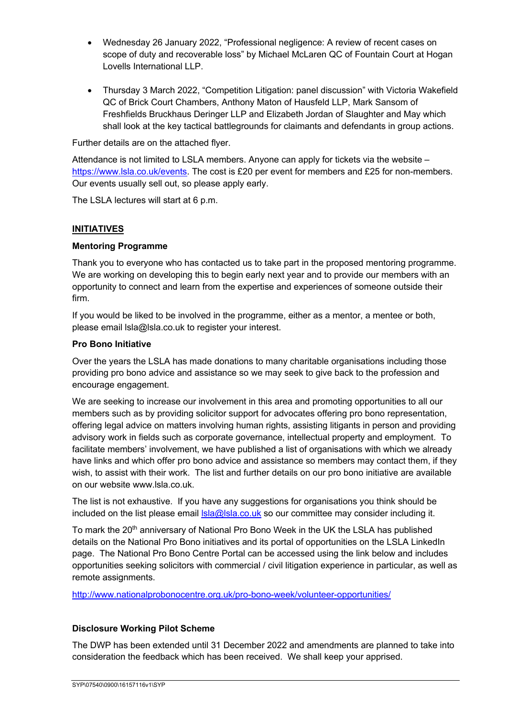- Wednesday 26 January 2022, "Professional negligence: A review of recent cases on scope of duty and recoverable loss" by Michael McLaren QC of Fountain Court at Hogan Lovells International LLP.
- Thursday 3 March 2022, "Competition Litigation: panel discussion" with Victoria Wakefield QC of Brick Court Chambers, Anthony Maton of Hausfeld LLP, Mark Sansom of Freshfields Bruckhaus Deringer LLP and Elizabeth Jordan of Slaughter and May which shall look at the key tactical battlegrounds for claimants and defendants in group actions.

Further details are on the attached flyer.

Attendance is not limited to LSLA members. Anyone can apply for tickets via the website – https://www.lsla.co.uk/events. The cost is £20 per event for members and £25 for non-members. Our events usually sell out, so please apply early.

The LSLA lectures will start at 6 p.m.

## **INITIATIVES**

## **Mentoring Programme**

Thank you to everyone who has contacted us to take part in the proposed mentoring programme. We are working on developing this to begin early next year and to provide our members with an opportunity to connect and learn from the expertise and experiences of someone outside their firm.

If you would be liked to be involved in the programme, either as a mentor, a mentee or both, please email lsla@lsla.co.uk to register your interest.

### **Pro Bono Initiative**

Over the years the LSLA has made donations to many charitable organisations including those providing pro bono advice and assistance so we may seek to give back to the profession and encourage engagement.

We are seeking to increase our involvement in this area and promoting opportunities to all our members such as by providing solicitor support for advocates offering pro bono representation, offering legal advice on matters involving human rights, assisting litigants in person and providing advisory work in fields such as corporate governance, intellectual property and employment. To facilitate members' involvement, we have published a list of organisations with which we already have links and which offer pro bono advice and assistance so members may contact them, if they wish, to assist with their work. The list and further details on our pro bono initiative are available on our website www.lsla.co.uk.

The list is not exhaustive. If you have any suggestions for organisations you think should be included on the list please email  $\text{lsla@lsla.co.uk}$  so our committee may consider including it.

To mark the 20<sup>th</sup> anniversary of National Pro Bono Week in the UK the LSLA has published details on the National Pro Bono initiatives and its portal of opportunities on the LSLA LinkedIn page. The National Pro Bono Centre Portal can be accessed using the link below and includes opportunities seeking solicitors with commercial / civil litigation experience in particular, as well as remote assignments.

http://www.nationalprobonocentre.org.uk/pro-bono-week/volunteer-opportunities/

## **Disclosure Working Pilot Scheme**

The DWP has been extended until 31 December 2022 and amendments are planned to take into consideration the feedback which has been received. We shall keep your apprised.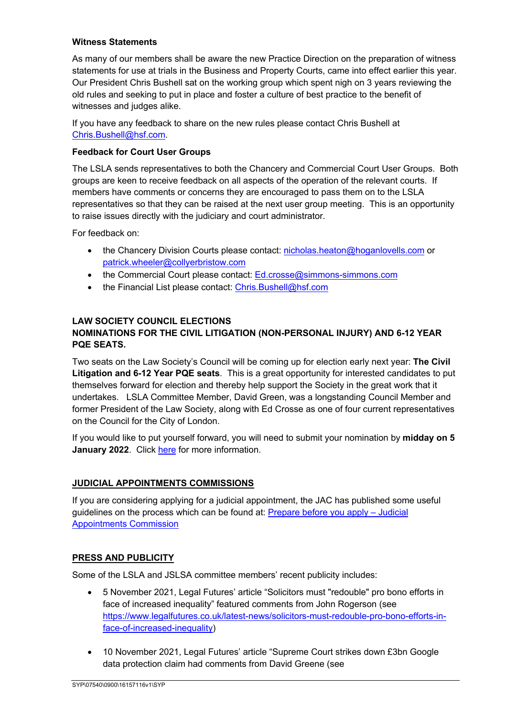### **Witness Statements**

As many of our members shall be aware the new Practice Direction on the preparation of witness statements for use at trials in the Business and Property Courts, came into effect earlier this year. Our President Chris Bushell sat on the working group which spent nigh on 3 years reviewing the old rules and seeking to put in place and foster a culture of best practice to the benefit of witnesses and judges alike.

If you have any feedback to share on the new rules please contact Chris Bushell at Chris.Bushell@hsf.com.

### **Feedback for Court User Groups**

The LSLA sends representatives to both the Chancery and Commercial Court User Groups. Both groups are keen to receive feedback on all aspects of the operation of the relevant courts. If members have comments or concerns they are encouraged to pass them on to the LSLA representatives so that they can be raised at the next user group meeting. This is an opportunity to raise issues directly with the judiciary and court administrator.

For feedback on:

- the Chancery Division Courts please contact: nicholas.heaton@hoganlovells.com or patrick.wheeler@collyerbristow.com
- the Commercial Court please contact: Ed.crosse@simmons-simmons.com
- the Financial List please contact: Chris.Bushell@hsf.com

# **LAW SOCIETY COUNCIL ELECTIONS**

# **NOMINATIONS FOR THE CIVIL LITIGATION (NON-PERSONAL INJURY) AND 6-12 YEAR PQE SEATS.**

Two seats on the Law Society's Council will be coming up for election early next year: **The Civil Litigation and 6-12 Year PQE seats**. This is a great opportunity for interested candidates to put themselves forward for election and thereby help support the Society in the great work that it undertakes. LSLA Committee Member, David Green, was a longstanding Council Member and former President of the Law Society, along with Ed Crosse as one of four current representatives on the Council for the City of London.

If you would like to put yourself forward, you will need to submit your nomination by **midday on 5 January 2022**. Click here for more information.

## **JUDICIAL APPOINTMENTS COMMISSIONS**

If you are considering applying for a judicial appointment, the JAC has published some useful guidelines on the process which can be found at: Prepare before you apply – Judicial Appointments Commission

## **PRESS AND PUBLICITY**

Some of the LSLA and JSLSA committee members' recent publicity includes:

- 5 November 2021, Legal Futures' article "Solicitors must "redouble" pro bono efforts in face of increased inequality" featured comments from John Rogerson (see https://www.legalfutures.co.uk/latest-news/solicitors-must-redouble-pro-bono-efforts-inface-of-increased-inequality)
- 10 November 2021, Legal Futures' article "Supreme Court strikes down £3bn Google data protection claim had comments from David Greene (see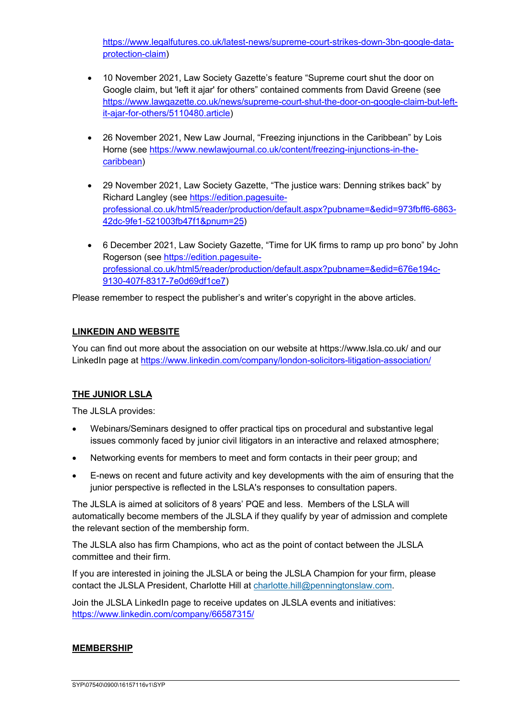https://www.legalfutures.co.uk/latest-news/supreme-court-strikes-down-3bn-google-dataprotection-claim)

- 10 November 2021, Law Society Gazette's feature "Supreme court shut the door on Google claim, but 'left it ajar' for others" contained comments from David Greene (see https://www.lawgazette.co.uk/news/supreme-court-shut-the-door-on-google-claim-but-leftit-ajar-for-others/5110480.article)
- 26 November 2021, New Law Journal, "Freezing injunctions in the Caribbean" by Lois Horne (see https://www.newlawjournal.co.uk/content/freezing-injunctions-in-thecaribbean)
- 29 November 2021, Law Society Gazette, "The justice wars: Denning strikes back" by Richard Langley (see https://edition.pagesuiteprofessional.co.uk/html5/reader/production/default.aspx?pubname=&edid=973fbff6-6863- 42dc-9fe1-521003fb47f1&pnum=25)
- 6 December 2021, Law Society Gazette, "Time for UK firms to ramp up pro bono" by John Rogerson (see https://edition.pagesuiteprofessional.co.uk/html5/reader/production/default.aspx?pubname=&edid=676e194c-9130-407f-8317-7e0d69df1ce7)

Please remember to respect the publisher's and writer's copyright in the above articles.

# **LINKEDIN AND WEBSITE**

You can find out more about the association on our website at https://www.lsla.co.uk/ and our LinkedIn page at https://www.linkedin.com/company/london-solicitors-litigation-association/

# **THE JUNIOR LSLA**

The JLSLA provides:

- Webinars/Seminars designed to offer practical tips on procedural and substantive legal issues commonly faced by junior civil litigators in an interactive and relaxed atmosphere;
- Networking events for members to meet and form contacts in their peer group; and
- E-news on recent and future activity and key developments with the aim of ensuring that the junior perspective is reflected in the LSLA's responses to consultation papers.

The JLSLA is aimed at solicitors of 8 years' PQE and less. Members of the LSLA will automatically become members of the JLSLA if they qualify by year of admission and complete the relevant section of the membership form.

The JLSLA also has firm Champions, who act as the point of contact between the JLSLA committee and their firm.

If you are interested in joining the JLSLA or being the JLSLA Champion for your firm, please contact the JLSLA President, Charlotte Hill at charlotte.hill@penningtonslaw.com.

Join the JLSLA LinkedIn page to receive updates on JLSLA events and initiatives: https://www.linkedin.com/company/66587315/

## **MEMBERSHIP**

SYP\07540\0900\16157116v1\SYP